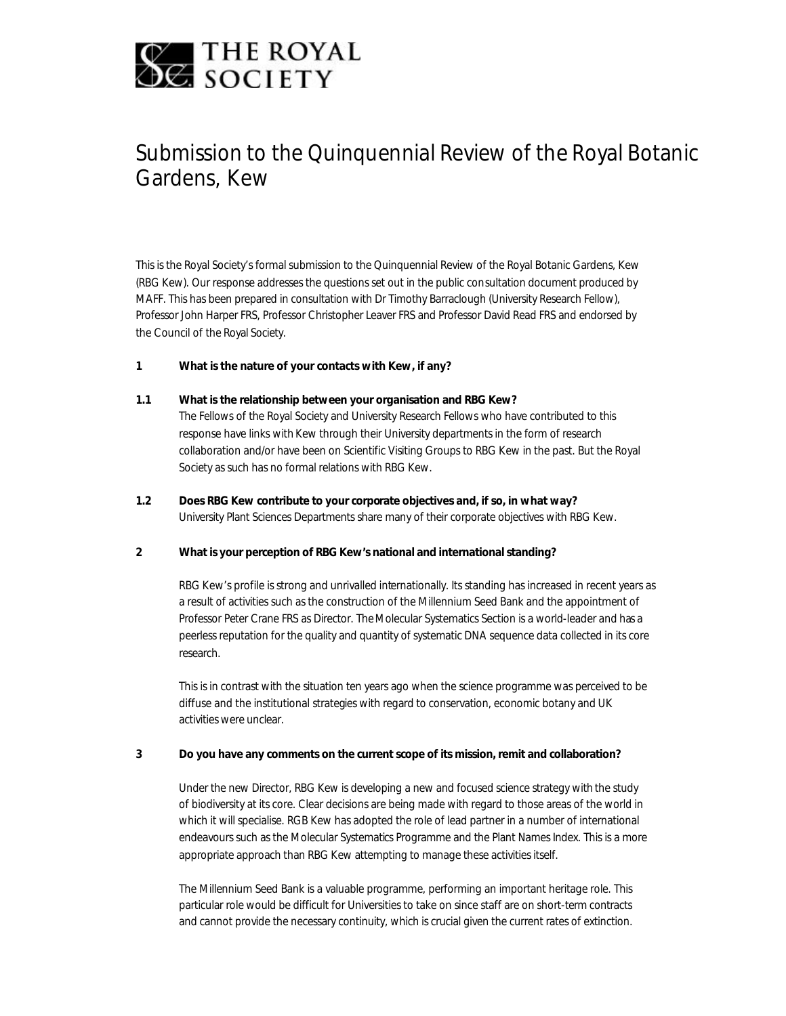

# Submission to the Quinquennial Review of the Royal Botanic Gardens, Kew

This is the Royal Society's formal submission to the Quinquennial Review of the Royal Botanic Gardens, Kew (RBG Kew). Our response addresses the questions set out in the public consultation document produced by MAFF. This has been prepared in consultation with Dr Timothy Barraclough (University Research Fellow), Professor John Harper FRS, Professor Christopher Leaver FRS and Professor David Read FRS and endorsed by the Council of the Royal Society.

## **1 What is the nature of your contacts with Kew, if any?**

## **1.1 What is the relationship between your organisation and RBG Kew?**

The Fellows of the Royal Society and University Research Fellows who have contributed to this response have links with Kew through their University departments in the form of research collaboration and/or have been on Scientific Visiting Groups to RBG Kew in the past. But the Royal Society as such has no formal relations with RBG Kew.

**1.2 Does RBG Kew contribute to your corporate objectives and, if so, in what way?** University Plant Sciences Departments share many of their corporate objectives with RBG Kew.

## **2 What is your perception of RBG Kew's national and international standing?**

RBG Kew's profile is strong and unrivalled internationally. Its standing has increased in recent years as a result of activities such as the construction of the Millennium Seed Bank and the appointment of Professor Peter Crane FRS as Director. The Molecular Systematics Section is a world-leader and has a peerless reputation for the quality and quantity of systematic DNA sequence data collected in its core research.

This is in contrast with the situation ten years ago when the science programme was perceived to be diffuse and the institutional strategies with regard to conservation, economic botany and UK activities were unclear.

## **3 Do you have any comments on the current scope of its mission, remit and collaboration?**

Under the new Director, RBG Kew is developing a new and focused science strategy with the study of biodiversity at its core. Clear decisions are being made with regard to those areas of the world in which it will specialise. RGB Kew has adopted the role of lead partner in a number of international endeavours such as the Molecular Systematics Programme and the Plant Names Index. This is a more appropriate approach than RBG Kew attempting to manage these activities itself.

The Millennium Seed Bank is a valuable programme, performing an important heritage role. This particular role would be difficult for Universities to take on since staff are on short-term contracts and cannot provide the necessary continuity, which is crucial given the current rates of extinction.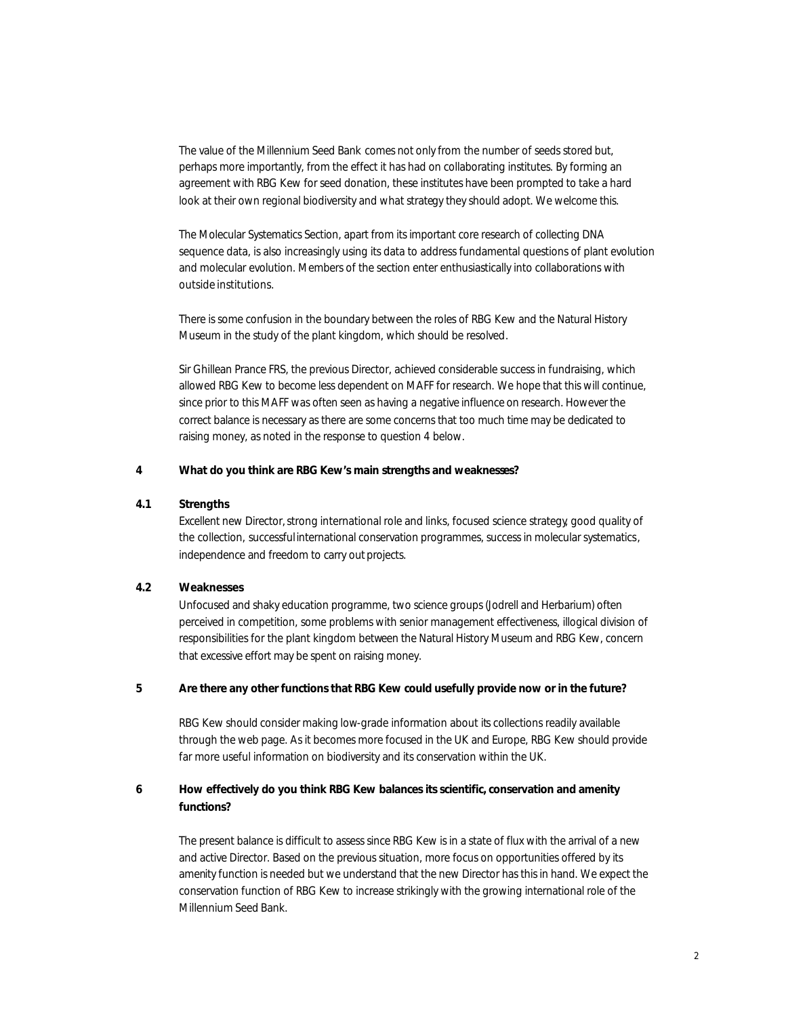The value of the Millennium Seed Bank comes not only from the number of seeds stored but, perhaps more importantly, from the effect it has had on collaborating institutes. By forming an agreement with RBG Kew for seed donation, these institutes have been prompted to take a hard look at their own regional biodiversity and what strategy they should adopt. We welcome this.

The Molecular Systematics Section, apart from its important core research of collecting DNA sequence data, is also increasingly using its data to address fundamental questions of plant evolution and molecular evolution. Members of the section enter enthusiastically into collaborations with outside institutions.

There is some confusion in the boundary between the roles of RBG Kew and the Natural History Museum in the study of the plant kingdom, which should be resolved.

Sir Ghillean Prance FRS, the previous Director, achieved considerable success in fundraising, which allowed RBG Kew to become less dependent on MAFF for research. We hope that this will continue, since prior to this MAFF was often seen as having a negative influence on research. However the correct balance is necessary as there are some concerns that too much time may be dedicated to raising money, as noted in the response to question 4 below.

## **4 What do you think are RBG Kew's main strengths and weaknesses?**

## **4.1 Strengths**

Excellent new Director, strong international role and links, focused science strategy, good quality of the collection, successful international conservation programmes, success in molecular systematics, independence and freedom to carry out projects.

## **4.2 Weaknesses**

Unfocused and shaky education programme, two science groups (Jodrell and Herbarium) often perceived in competition, some problems with senior management effectiveness, illogical division of responsibilities for the plant kingdom between the Natural History Museum and RBG Kew, concern that excessive effort may be spent on raising money.

## **5 Are there any other functions that RBG Kew could usefully provide now or in the future?**

RBG Kew should consider making low-grade information about its collections readily available through the web page. As it becomes more focused in the UK and Europe, RBG Kew should provide far more useful information on biodiversity and its conservation within the UK.

# **6 How effectively do you think RBG Kew balances its scientific, conservation and amenity functions?**

The present balance is difficult to assess since RBG Kew is in a state of flux with the arrival of a new and active Director. Based on the previous situation, more focus on opportunities offered by its amenity function is needed but we understand that the new Director has this in hand. We expect the conservation function of RBG Kew to increase strikingly with the growing international role of the Millennium Seed Bank.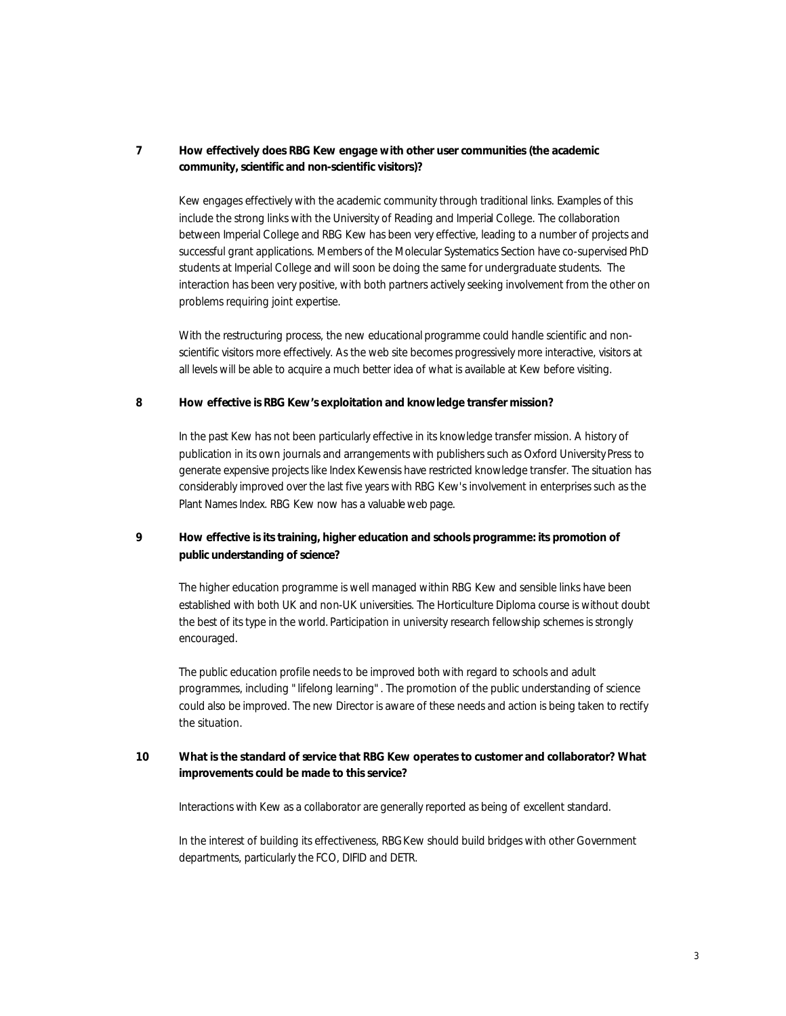## **7 How effectively does RBG Kew engage with other user communities (the academic community, scientific and non-scientific visitors)?**

Kew engages effectively with the academic community through traditional links. Examples of this include the strong links with the University of Reading and Imperial College. The collaboration between Imperial College and RBG Kew has been very effective, leading to a number of projects and successful grant applications. Members of the Molecular Systematics Section have co-supervised PhD students at Imperial College and will soon be doing the same for undergraduate students. The interaction has been very positive, with both partners actively seeking involvement from the other on problems requiring joint expertise.

With the restructuring process, the new educational programme could handle scientific and nonscientific visitors more effectively. As the web site becomes progressively more interactive, visitors at all levels will be able to acquire a much better idea of what is available at Kew before visiting.

## **8 How effective is RBG Kew's exploitation and knowledge transfer mission?**

In the past Kew has not been particularly effective in its knowledge transfer mission. A history of publication in its own journals and arrangements with publishers such as Oxford University Press to generate expensive projects like Index Kewensis have restricted knowledge transfer. The situation has considerably improved over the last five years with RBG Kew's involvement in enterprises such as the Plant Names Index. RBG Kew now has a valuable web page.

# **9 How effective is its training, higher education and schools programme: its promotion of public understanding of science?**

The higher education programme is well managed within RBG Kew and sensible links have been established with both UK and non-UK universities. The Horticulture Diploma course is without doubt the best of its type in the world. Participation in university research fellowship schemes is strongly encouraged.

The public education profile needs to be improved both with regard to schools and adult programmes, including "lifelong learning". The promotion of the public understanding of science could also be improved. The new Director is aware of these needs and action is being taken to rectify the situation.

# **10 What is the standard of service that RBG Kew operates to customer and collaborator? What improvements could be made to this service?**

Interactions with Kew as a collaborator are generally reported as being of excellent standard.

In the interest of building its effectiveness, RBG Kew should build bridges with other Government departments, particularly the FCO, DIFID and DETR.